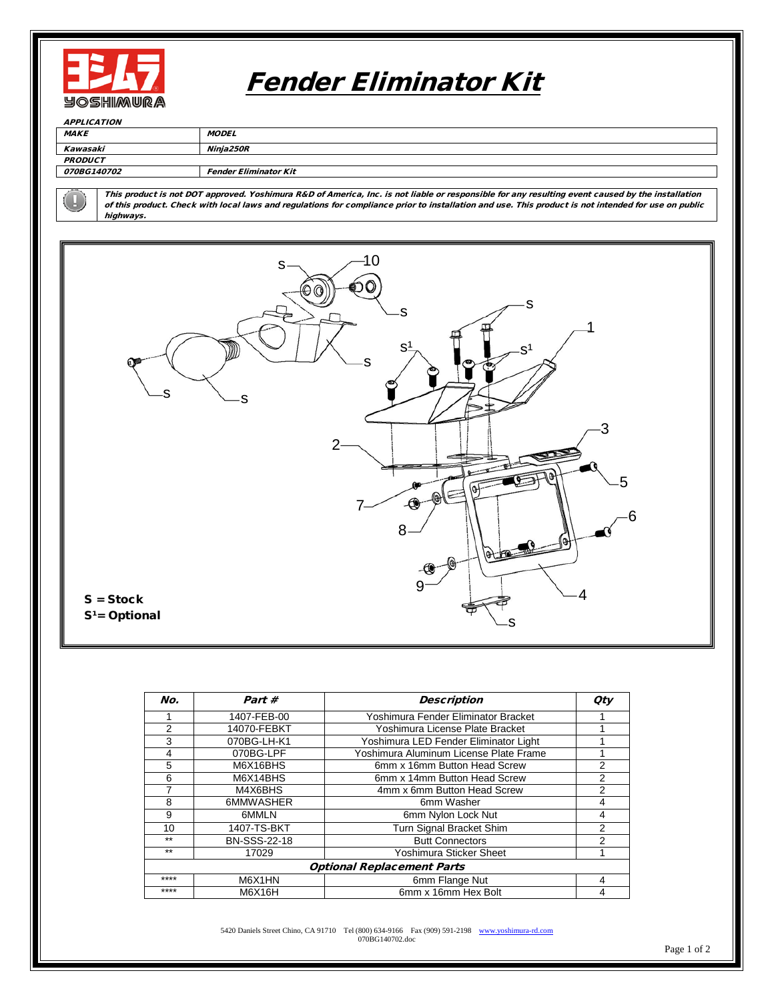

## Fender Eliminator Kit

| <b>APPLICATION</b>        |                              |  |  |  |
|---------------------------|------------------------------|--|--|--|
| <b>MAKE</b>               | <b>MODEL</b>                 |  |  |  |
| Kawasaki                  | Ninia250R                    |  |  |  |
| <b>PRODUCT</b>            |                              |  |  |  |
| <i><b>070BG140702</b></i> | <b>Fender Eliminator Kit</b> |  |  |  |

This product is not DOT approved. Yoshimura R&D of America, Inc. is not liable or responsible for any resulting event caused by the installation of this product. Check with local laws and regulations for compliance prior to installation and use. This product is not intended for use on public highways.



| No.                               | Part#               | <b>Description</b>                     | <b>Oty</b> |  |
|-----------------------------------|---------------------|----------------------------------------|------------|--|
|                                   | 1407-FEB-00         | Yoshimura Fender Eliminator Bracket    |            |  |
| 2                                 | 14070-FEBKT         | Yoshimura License Plate Bracket        |            |  |
| 3                                 | 070BG-LH-K1         | Yoshimura LED Fender Eliminator Light  |            |  |
| 4                                 | 070BG-LPF           | Yoshimura Aluminum License Plate Frame |            |  |
| 5                                 | M6X16BHS            | 6mm x 16mm Button Head Screw           | 2          |  |
| 6                                 | M6X14BHS            | 6mm x 14mm Button Head Screw           | 2          |  |
|                                   | M4X6BHS             | 4mm x 6mm Button Head Screw            | 2          |  |
| 8                                 | 6MMWASHER           | 6mm Washer                             | 4          |  |
| 9                                 | 6MMLN               | 6mm Nylon Lock Nut                     | 4          |  |
| 10                                | 1407-TS-BKT         | Turn Signal Bracket Shim               | 2          |  |
| $***$                             | <b>BN-SSS-22-18</b> | <b>Butt Connectors</b>                 | 2          |  |
| $***$                             | 17029               | Yoshimura Sticker Sheet                |            |  |
| <b>Optional Replacement Parts</b> |                     |                                        |            |  |
| ****                              | M6X1HN              | 6mm Flange Nut                         | 4          |  |
| ****                              | M6X16H              | 6mm x 16mm Hex Bolt                    | 4          |  |

5420 Daniels Street Chino, CA 91710 Tel (800) 634-9166 Fax (909) 591-2198 [www.yoshimura-rd.com](http://www.yoshimura-rd.com/) 070BG140702.doc